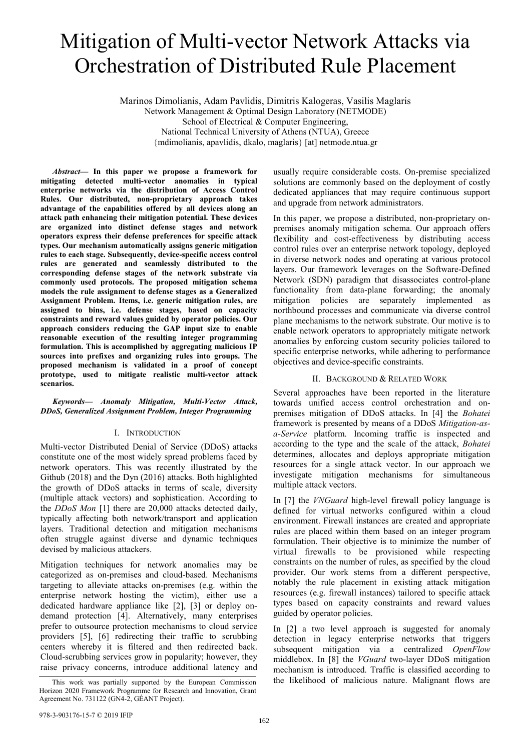# Mitigation of Multi-vector Network Attacks via Orchestration of Distributed Rule Placement

Marinos Dimolianis, Adam Pavlidis, Dimitris Kalogeras, Vasilis Maglaris Network Management & Optimal Design Laboratory (NETMODE) School of Electrical & Computer Engineering, National Technical University of Athens (NTUA), Greece {mdimolianis, apavlidis, dkalo, maglaris} [at] netmode.ntua.gr

*Abstract***— In this paper we propose a framework for mitigating detected multi-vector anomalies in typical enterprise networks via the distribution of Access Control Rules. Our distributed, non-proprietary approach takes advantage of the capabilities offered by all devices along an attack path enhancing their mitigation potential. These devices are organized into distinct defense stages and network operators express their defense preferences for specific attack types. Our mechanism automatically assigns generic mitigation rules to each stage. Subsequently, device-specific access control rules are generated and seamlessly distributed to the corresponding defense stages of the network substrate via commonly used protocols. The proposed mitigation schema models the rule assignment to defense stages as a Generalized Assignment Problem. Items, i.e. generic mitigation rules, are assigned to bins, i.e. defense stages, based on capacity constraints and reward values guided by operator policies. Our approach considers reducing the GAP input size to enable reasonable execution of the resulting integer programming formulation. This is accomplished by aggregating malicious IP sources into prefixes and organizing rules into groups. The proposed mechanism is validated in a proof of concept prototype, used to mitigate realistic multi-vector attack scenarios.**

*Keywords— Anomaly Mitigation, Multi-Vector Attack, DDoS, Generalized Assignment Problem, Integer Programming* 

#### I. INTRODUCTION

Multi-vector Distributed Denial of Service (DDoS) attacks constitute one of the most widely spread problems faced by network operators. This was recently illustrated by the Github (2018) and the Dyn (2016) attacks. Both highlighted the growth of DDoS attacks in terms of scale, diversity (multiple attack vectors) and sophistication. According to the *DDoS Mon* [1] there are 20,000 attacks detected daily, typically affecting both network/transport and application layers. Traditional detection and mitigation mechanisms often struggle against diverse and dynamic techniques devised by malicious attackers.

Mitigation techniques for network anomalies may be categorized as on-premises and cloud-based. Mechanisms targeting to alleviate attacks on-premises (e.g. within the enterprise network hosting the victim), either use a dedicated hardware appliance like [2], [3] or deploy ondemand protection [4]. Alternatively, many enterprises prefer to outsource protection mechanisms to cloud service providers [5], [6] redirecting their traffic to scrubbing centers whereby it is filtered and then redirected back. Cloud-scrubbing services grow in popularity; however, they raise privacy concerns, introduce additional latency and

usually require considerable costs. On-premise specialized solutions are commonly based on the deployment of costly dedicated appliances that may require continuous support and upgrade from network administrators.

In this paper, we propose a distributed, non-proprietary onpremises anomaly mitigation schema. Our approach offers flexibility and cost-effectiveness by distributing access control rules over an enterprise network topology, deployed in diverse network nodes and operating at various protocol layers. Our framework leverages on the Software-Defined Network (SDN) paradigm that disassociates control-plane functionality from data-plane forwarding; the anomaly mitigation policies are separately implemented as northbound processes and communicate via diverse control plane mechanisms to the network substrate. Our motive is to enable network operators to appropriately mitigate network anomalies by enforcing custom security policies tailored to specific enterprise networks, while adhering to performance objectives and device-specific constraints.

#### II. BACKGROUND & RELATED WORK

Several approaches have been reported in the literature towards unified access control orchestration and onpremises mitigation of DDoS attacks. In [4] the *Bohatei* framework is presented by means of a DDoS *Mitigation-asa-Service* platform. Incoming traffic is inspected and according to the type and the scale of the attack, *Bohatei* determines, allocates and deploys appropriate mitigation resources for a single attack vector. In our approach we investigate mitigation mechanisms for simultaneous multiple attack vectors.

In [7] the *VNGuard* high-level firewall policy language is defined for virtual networks configured within a cloud environment. Firewall instances are created and appropriate rules are placed within them based on an integer program formulation. Their objective is to minimize the number of virtual firewalls to be provisioned while respecting constraints on the number of rules, as specified by the cloud provider. Our work stems from a different perspective, notably the rule placement in existing attack mitigation resources (e.g. firewall instances) tailored to specific attack types based on capacity constraints and reward values guided by operator policies.

In [2] a two level approach is suggested for anomaly detection in legacy enterprise networks that triggers subsequent mitigation via a centralized *OpenFlow* middlebox. In [8] the *VGuard* two-layer DDoS mitigation mechanism is introduced. Traffic is classified according to This work was partially supported by the European Commission the likelihood of malicious nature. Malignant flows are

Horizon 2020 Framework Programme for Research and Innovation, Grant Agreement No. 731122 (GN4-2, GÉANT Project).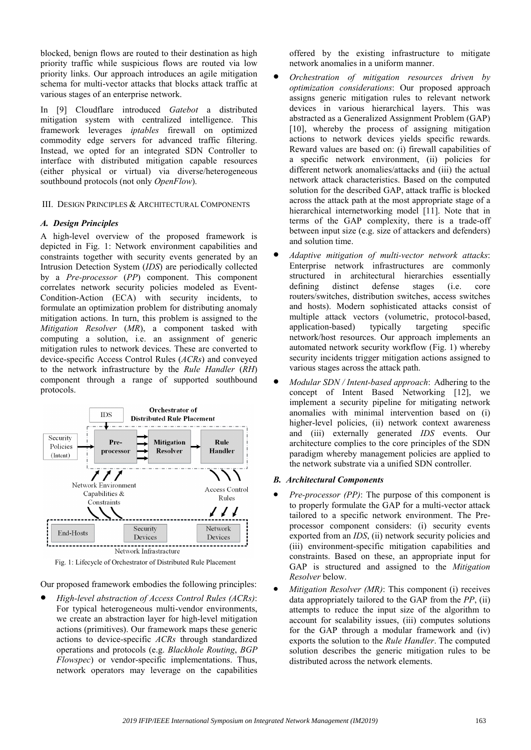blocked, benign flows are routed to their destination as high priority traffic while suspicious flows are routed via low priority links. Our approach introduces an agile mitigation schema for multi-vector attacks that blocks attack traffic at various stages of an enterprise network.

In [9] Cloudflare introduced *Gatebot* a distributed mitigation system with centralized intelligence. This framework leverages *iptables* firewall on optimized commodity edge servers for advanced traffic filtering. Instead, we opted for an integrated SDN Controller to interface with distributed mitigation capable resources (either physical or virtual) via diverse/heterogeneous southbound protocols (not only *OpenFlow*).

## III. DESIGN PRINCIPLES & ARCHITECTURAL COMPONENTS

#### *A. Design Principles*

A high-level overview of the proposed framework is depicted in Fig. 1: Network environment capabilities and constraints together with security events generated by an Intrusion Detection System (*IDS*) are periodically collected by a *Pre-processor* (*PP*) component. This component correlates network security policies modeled as Event-Condition-Action (ECA) with security incidents, to formulate an optimization problem for distributing anomaly mitigation actions. In turn, this problem is assigned to the *Mitigation Resolver* (*MR*), a component tasked with computing a solution, i.e. an assignment of generic mitigation rules to network devices. These are converted to device-specific Access Control Rules (*ACRs*) and conveyed to the network infrastructure by the *Rule Handler* (*RH*) component through a range of supported southbound protocols.



Fig. 1: Lifecycle of Orchestrator of Distributed Rule Placement

Our proposed framework embodies the following principles:

• *High-level abstraction of Access Control Rules (ACRs)*: For typical heterogeneous multi-vendor environments, we create an abstraction layer for high-level mitigation actions (primitives). Our framework maps these generic actions to device-specific *ACRs* through standardized operations and protocols (e.g. *Blackhole Routing*, *BGP Flowspec*) or vendor-specific implementations. Thus, network operators may leverage on the capabilities

offered by the existing infrastructure to mitigate network anomalies in a uniform manner.

- *Orchestration of mitigation resources driven by optimization considerations*: Our proposed approach assigns generic mitigation rules to relevant network devices in various hierarchical layers. This was abstracted as a Generalized Assignment Problem (GAP) [10], whereby the process of assigning mitigation actions to network devices yields specific rewards. Reward values are based on: (i) firewall capabilities of a specific network environment, (ii) policies for different network anomalies/attacks and (iii) the actual network attack characteristics. Based on the computed solution for the described GAP, attack traffic is blocked across the attack path at the most appropriate stage of a hierarchical internetworking model [11]. Note that in terms of the GAP complexity, there is a trade-off between input size (e.g. size of attackers and defenders) and solution time.
- *Adaptive mitigation of multi-vector network attacks*: Enterprise network infrastructures are commonly structured in architectural hierarchies essentially defining distinct defense stages (i.e. core routers/switches, distribution switches, access switches and hosts). Modern sophisticated attacks consist of multiple attack vectors (volumetric, protocol-based, application-based) typically targeting specific network/host resources. Our approach implements an automated network security workflow (Fig. 1) whereby security incidents trigger mitigation actions assigned to various stages across the attack path.
- *Modular SDN / Intent-based approach*: Adhering to the concept of Intent Based Networking [12], we implement a security pipeline for mitigating network anomalies with minimal intervention based on (i) higher-level policies, (ii) network context awareness and (iii) externally generated *IDS* events. Our architecture complies to the core principles of the SDN paradigm whereby management policies are applied to the network substrate via a unified SDN controller.

#### *B. Architectural Components*

- *Pre-processor (PP)*: The purpose of this component is to properly formulate the GAP for a multi-vector attack tailored to a specific network environment. The Preprocessor component considers: (i) security events exported from an *IDS*, (ii) network security policies and (iii) environment-specific mitigation capabilities and constraints. Based on these, an appropriate input for GAP is structured and assigned to the *Mitigation Resolver* below.
- *Mitigation Resolver (MR)*: This component (i) receives data appropriately tailored to the GAP from the *PP*, (ii) attempts to reduce the input size of the algorithm to account for scalability issues, (iii) computes solutions for the GAP through a modular framework and (iv) exports the solution to the *Rule Handler*. The computed solution describes the generic mitigation rules to be distributed across the network elements.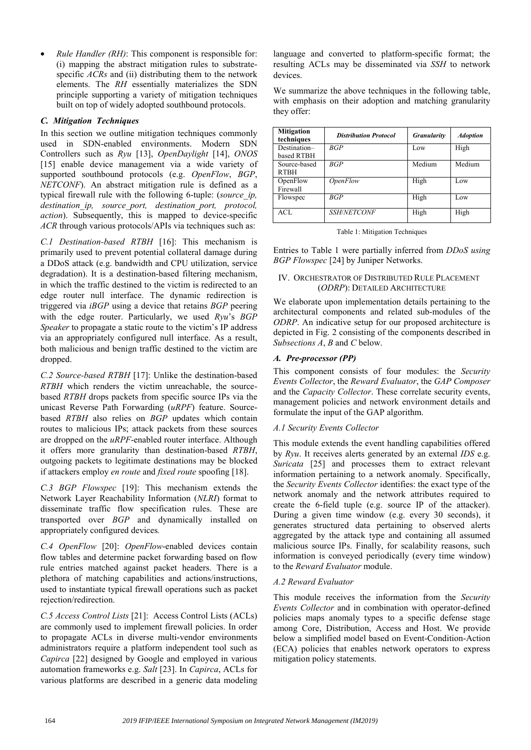• *Rule Handler (RH)*: This component is responsible for: (i) mapping the abstract mitigation rules to substratespecific *ACRs* and (ii) distributing them to the network elements. The *RH* essentially materializes the SDN principle supporting a variety of mitigation techniques built on top of widely adopted southbound protocols.

## *C. Mitigation Techniques*

In this section we outline mitigation techniques commonly used in SDN-enabled environments. Modern SDN Controllers such as *Ryu* [13], *OpenDaylight* [14], *ONOS* [15] enable device management via a wide variety of supported southbound protocols (e.g. *OpenFlow*, *BGP*, *NETCONF*). An abstract mitigation rule is defined as a typical firewall rule with the following 6-tuple: (*source\_ip, destination\_ip, source\_port, destination\_port, protocol, action*). Subsequently, this is mapped to device-specific *ACR* through various protocols/APIs via techniques such as:

*C.1 Destination-based RTBH* [16]: This mechanism is primarily used to prevent potential collateral damage during a DDoS attack (e.g. bandwidth and CPU utilization, service degradation). It is a destination-based filtering mechanism, in which the traffic destined to the victim is redirected to an edge router null interface. The dynamic redirection is triggered via *iBGP* using a device that retains *BGP* peering with the edge router. Particularly, we used *Ryu*'s *BGP Speaker* to propagate a static route to the victim's IP address via an appropriately configured null interface. As a result, both malicious and benign traffic destined to the victim are dropped.

*C.2 Source-based RTBH* [17]: Unlike the destination-based *RTBH* which renders the victim unreachable, the sourcebased *RTBH* drops packets from specific source IPs via the unicast Reverse Path Forwarding (*uRPF*) feature. Sourcebased *RTBH* also relies on *BGP* updates which contain routes to malicious IPs; attack packets from these sources are dropped on the *uRPF*-enabled router interface. Although it offers more granularity than destination-based *RTBH*, outgoing packets to legitimate destinations may be blocked if attackers employ *en route* and *fixed route* spoofing [18].

*C.3 BGP Flowspec* [19]: This mechanism extends the Network Layer Reachability Information (*NLRI*) format to disseminate traffic flow specification rules. These are transported over *BGP* and dynamically installed on appropriately configured devices*.* 

*C.4 OpenFlow* [20]: *OpenFlow*-enabled devices contain flow tables and determine packet forwarding based on flow rule entries matched against packet headers. There is a plethora of matching capabilities and actions/instructions, used to instantiate typical firewall operations such as packet rejection/redirection.

*C.5 Access Control Lists* [21]: Access Control Lists (ACLs) are commonly used to implement firewall policies. In order to propagate ACLs in diverse multi-vendor environments administrators require a platform independent tool such as *Capirca* [22] designed by Google and employed in various automation frameworks e.g. *Salt* [23]. In *Capirca*, ACLs for various platforms are described in a generic data modeling

language and converted to platform-specific format; the resulting ACLs may be disseminated via *SSH* to network devices.

We summarize the above techniques in the following table, with emphasis on their adoption and matching granularity they offer:

| <b>Mitigation</b><br>techniques | <b>Distribution Protocol</b> | <b>Granularity</b> | <b>Adoption</b> |
|---------------------------------|------------------------------|--------------------|-----------------|
| Destination-                    | BGP                          | Low                | High            |
| based RTBH                      |                              |                    |                 |
| Source-based                    | BGP                          | Medium             | Medium          |
| <b>RTBH</b>                     |                              |                    |                 |
| OpenFlow                        | <i>OpenFlow</i>              | High               | Low             |
| Firewall                        |                              |                    |                 |
| Flowspec                        | BGP                          | High               | Low             |
| ACL                             | <b>SSH/NETCONF</b>           | High               | High            |

Table 1: Mitigation Techniques

Entries to Table 1 were partially inferred from *DDoS using BGP Flowspec* [24] by Juniper Networks.

## IV. ORCHESTRATOR OF DISTRIBUTED RULE PLACEMENT (*ODRP*): DETAILED ARCHITECTURE

We elaborate upon implementation details pertaining to the architectural components and related sub-modules of the *ODRP*. An indicative setup for our proposed architecture is depicted in Fig. 2 consisting of the components described in *Subsections A*, *B* and *C* below.

## *A. Pre-processor (PP)*

This component consists of four modules: the *Security Events Collector*, the *Reward Evaluator*, the *GAP Composer* and the *Capacity Collector*. These correlate security events, management policies and network environment details and formulate the input of the GAP algorithm.

## *A.1 Security Events Collector*

This module extends the event handling capabilities offered by *Ryu*. It receives alerts generated by an external *IDS* e.g. *Suricata* [25] and processes them to extract relevant information pertaining to a network anomaly. Specifically, the *Security Events Collector* identifies: the exact type of the network anomaly and the network attributes required to create the 6-field tuple (e.g. source IP of the attacker). During a given time window (e.g. every 30 seconds), it generates structured data pertaining to observed alerts aggregated by the attack type and containing all assumed malicious source IPs. Finally, for scalability reasons, such information is conveyed periodically (every time window) to the *Reward Evaluator* module.

## *A.2 Reward Evaluator*

This module receives the information from the *Security Events Collector* and in combination with operator-defined policies maps anomaly types to a specific defense stage among Core, Distribution, Access and Host. We provide below a simplified model based on Event-Condition-Action (ECA) policies that enables network operators to express mitigation policy statements.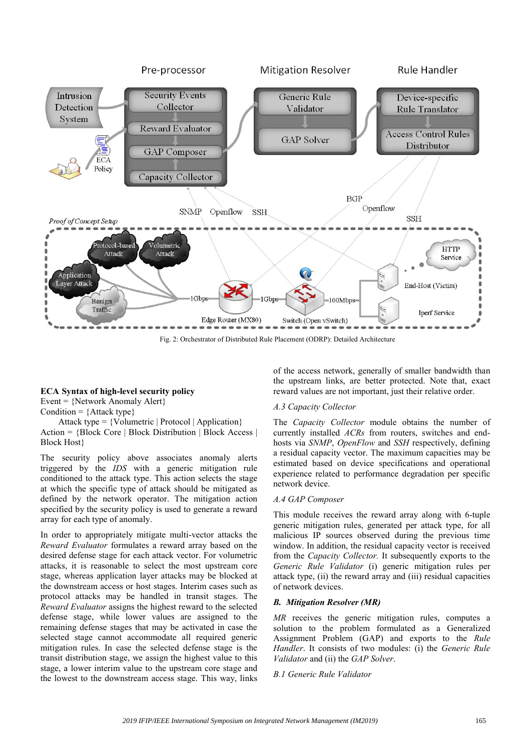

Fig. 2: Orchestrator of Distributed Rule Placement (ODRP): Detailed Architecture

## **ECA Syntax of high-level security policy**

Event =  $\{Network\,$  Anomaly Alert $\}$ 

Condition =  $\{Attack type\}$ 

 Attack type = {Volumetric | Protocol | Application} Action = {Block Core | Block Distribution | Block Access | Block Host}

The security policy above associates anomaly alerts triggered by the *IDS* with a generic mitigation rule conditioned to the attack type. This action selects the stage at which the specific type of attack should be mitigated as defined by the network operator. The mitigation action specified by the security policy is used to generate a reward array for each type of anomaly.

In order to appropriately mitigate multi-vector attacks the *Reward Evaluator* formulates a reward array based on the desired defense stage for each attack vector. For volumetric attacks, it is reasonable to select the most upstream core stage, whereas application layer attacks may be blocked at the downstream access or host stages. Interim cases such as protocol attacks may be handled in transit stages. The *Reward Evaluator* assigns the highest reward to the selected defense stage, while lower values are assigned to the remaining defense stages that may be activated in case the selected stage cannot accommodate all required generic mitigation rules. In case the selected defense stage is the transit distribution stage, we assign the highest value to this stage, a lower interim value to the upstream core stage and the lowest to the downstream access stage. This way, links

of the access network, generally of smaller bandwidth than the upstream links, are better protected. Note that, exact reward values are not important, just their relative order.

#### *A.3 Capacity Collector*

The *Capacity Collector* module obtains the number of currently installed *ACRs* from routers, switches and endhosts via *SNMP*, *OpenFlow* and *SSH* respectively, defining a residual capacity vector. The maximum capacities may be estimated based on device specifications and operational experience related to performance degradation per specific network device.

#### *A.4 GAP Composer*

This module receives the reward array along with 6-tuple generic mitigation rules, generated per attack type, for all malicious IP sources observed during the previous time window. In addition, the residual capacity vector is received from the *Capacity Collector.* It subsequently exports to the *Generic Rule Validator* (i) generic mitigation rules per attack type, (ii) the reward array and (iii) residual capacities of network devices.

#### *B. Mitigation Resolver (MR)*

*MR* receives the generic mitigation rules, computes a solution to the problem formulated as a Generalized Assignment Problem (GAP) and exports to the *Rule Handler*. It consists of two modules: (i) the *Generic Rule Validator* and (ii) the *GAP Solver*.

#### *B.1 Generic Rule Validator*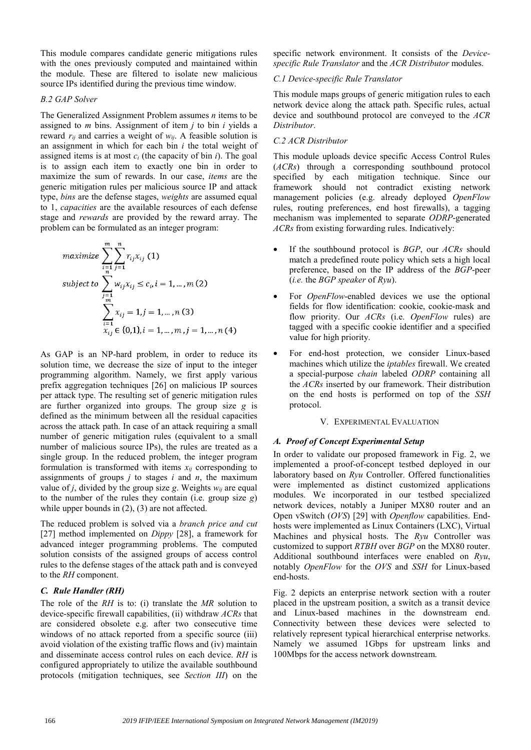This module compares candidate generic mitigations rules with the ones previously computed and maintained within the module. These are filtered to isolate new malicious source IPs identified during the previous time window.

#### *B.2 GAP Solver*

The Generalized Assignment Problem assumes *n* items to be assigned to *m* bins. Assignment of item *j* to bin *i* yields a reward *rij* and carries a weight of *wij*. A feasible solution is an assignment in which for each bin *i* the total weight of assigned items is at most  $c_i$  (the capacity of bin  $i$ ). The goal is to assign each item to exactly one bin in order to maximize the sum of rewards. In our case, *items* are the generic mitigation rules per malicious source IP and attack type, *bins* are the defense stages, *weights* are assumed equal to 1, *capacities* are the available resources of each defense stage and *rewards* are provided by the reward array. The problem can be formulated as an integer program:

$$
maximize \sum_{i=1}^{m} \sum_{j=1}^{n} r_{ij}x_{ij} (1)
$$
  
\nsubject to 
$$
\sum_{j=1}^{m} w_{ij}x_{ij} \le c_{i}, i = 1, ..., m (2)
$$
  
\n
$$
\sum_{i=1}^{m} x_{ij} = 1, j = 1, ..., n (3)
$$
  
\n
$$
x_{ij} \in \{0,1\}, i = 1, ..., m, j = 1, ..., n (4)
$$

As GAP is an NP-hard problem, in order to reduce its solution time, we decrease the size of input to the integer programming algorithm. Namely, we first apply various prefix aggregation techniques [26] on malicious IP sources per attack type. The resulting set of generic mitigation rules are further organized into groups. The group size *g* is defined as the minimum between all the residual capacities across the attack path. In case of an attack requiring a small number of generic mitigation rules (equivalent to a small number of malicious source IPs), the rules are treated as a single group. In the reduced problem, the integer program formulation is transformed with items  $x_{ii}$  corresponding to assignments of groups *j* to stages *i* and *n*, the maximum value of *j*, divided by the group size *g*. Weights  $w_{ij}$  are equal to the number of the rules they contain (i.e. group size *g*) while upper bounds in  $(2)$ ,  $(3)$  are not affected.

The reduced problem is solved via a *branch price and cut*  [27] method implemented on *Dippy* [28], a framework for advanced integer programming problems. The computed solution consists of the assigned groups of access control rules to the defense stages of the attack path and is conveyed to the *RH* component.

## *C. Rule Handler (RH)*

The role of the *RH* is to: (i) translate the *MR* solution to device-specific firewall capabilities, (ii) withdraw *ACRs* that are considered obsolete e.g. after two consecutive time windows of no attack reported from a specific source (iii) avoid violation of the existing traffic flows and (iv) maintain and disseminate access control rules on each device. *RH* is configured appropriately to utilize the available southbound protocols (mitigation techniques, see *Section III*) on the

specific network environment. It consists of the *Devicespecific Rule Translator* and the *ACR Distributor* modules.

## *C.1 Device-specific Rule Translator*

This module maps groups of generic mitigation rules to each network device along the attack path. Specific rules, actual device and southbound protocol are conveyed to the *ACR Distributor*.

## *C.2 ACR Distributor*

This module uploads device specific Access Control Rules (*ACRs*) through a corresponding southbound protocol specified by each mitigation technique. Since our framework should not contradict existing network management policies (e.g. already deployed *OpenFlow* rules, routing preferences, end host firewalls), a tagging mechanism was implemented to separate *ODRP*-generated *ACRs* from existing forwarding rules. Indicatively:

- If the southbound protocol is *BGP*, our *ACRs* should match a predefined route policy which sets a high local preference, based on the IP address of the *BGP*-peer (*i.e.* the *BGP speaker* of *Ryu*).
- For *OpenFlow*-enabled devices we use the optional fields for flow identification: cookie, cookie-mask and flow priority. Our *ACRs* (i.e. *OpenFlow* rules) are tagged with a specific cookie identifier and a specified value for high priority.
- For end-host protection, we consider Linux-based machines which utilize the *iptables* firewall. We created a special-purpose *chain* labeled *ODRP* containing all the *ACRs* inserted by our framework. Their distribution on the end hosts is performed on top of the *SSH* protocol.

#### V. EXPERIMENTAL EVALUATION

#### *A. Proof of Concept Experimental Setup*

In order to validate our proposed framework in Fig. 2, we implemented a proof-of-concept testbed deployed in our laboratory based on *Ryu* Controller. Offered functionalities were implemented as distinct customized applications modules. We incorporated in our testbed specialized network devices, notably a Juniper MX80 router and an Open vSwitch (*OVS*) [29] with *Openflow* capabilities. Endhosts were implemented as Linux Containers (LXC), Virtual Machines and physical hosts. The *Ryu* Controller was customized to support *RTBH* over *BGP* on the MX80 router. Additional southbound interfaces were enabled on *Ryu*, notably *OpenFlow* for the *OVS* and *SSH* for Linux-based end-hosts.

Fig. 2 depicts an enterprise network section with a router placed in the upstream position, a switch as a transit device and Linux-based machines in the downstream end. Connectivity between these devices were selected to relatively represent typical hierarchical enterprise networks. Namely we assumed 1Gbps for upstream links and 100Mbps for the access network downstream.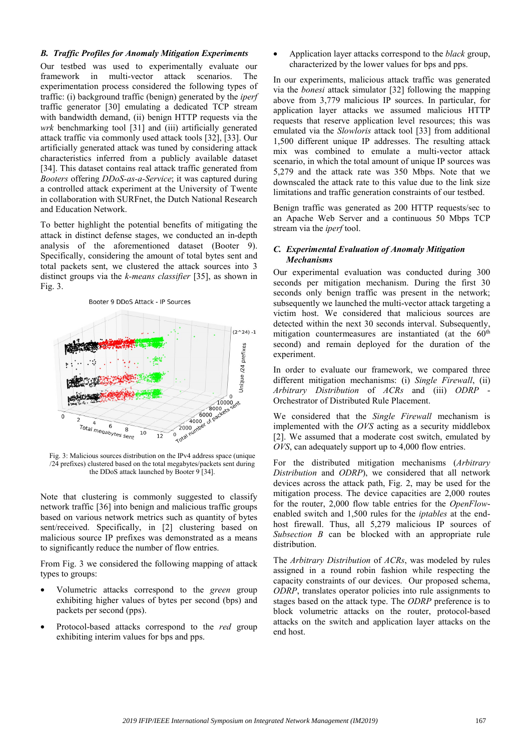#### *B. Traffic Profiles for Anomaly Mitigation Experiments*

Our testbed was used to experimentally evaluate our framework in multi-vector attack scenarios. The experimentation process considered the following types of traffic: (i) background traffic (benign) generated by the *iperf* traffic generator [30] emulating a dedicated TCP stream with bandwidth demand, (ii) benign HTTP requests via the *wrk* benchmarking tool [31] and (iii) artificially generated attack traffic via commonly used attack tools [32], [33]. Our artificially generated attack was tuned by considering attack characteristics inferred from a publicly available dataset [34]. This dataset contains real attack traffic generated from *Booters* offering *DDoS-as-a-Service*; it was captured during a controlled attack experiment at the University of Twente in collaboration with SURFnet, the Dutch National Research and Education Network.

To better highlight the potential benefits of mitigating the attack in distinct defense stages, we conducted an in-depth analysis of the aforementioned dataset (Booter 9). Specifically, considering the amount of total bytes sent and total packets sent, we clustered the attack sources into 3 distinct groups via the *k-means classifier* [35], as shown in Fig. 3.



Fig. 3: Malicious sources distribution on the IPv4 address space (unique /24 prefixes) clustered based on the total megabytes/packets sent during the DDoS attack launched by Booter 9 [34].

Note that clustering is commonly suggested to classify network traffic [36] into benign and malicious traffic groups based on various network metrics such as quantity of bytes sent/received. Specifically, in [2] clustering based on malicious source IP prefixes was demonstrated as a means to significantly reduce the number of flow entries.

From Fig. 3 we considered the following mapping of attack types to groups:

- Volumetric attacks correspond to the *green* group exhibiting higher values of bytes per second (bps) and packets per second (pps).
- Protocol-based attacks correspond to the *red* group exhibiting interim values for bps and pps.

• Application layer attacks correspond to the *black* group, characterized by the lower values for bps and pps.

In our experiments, malicious attack traffic was generated via the *bonesi* attack simulator [32] following the mapping above from 3,779 malicious IP sources. In particular, for application layer attacks we assumed malicious HTTP requests that reserve application level resources; this was emulated via the *Slowloris* attack tool [33] from additional 1,500 different unique IP addresses. The resulting attack mix was combined to emulate a multi-vector attack scenario, in which the total amount of unique IP sources was 5,279 and the attack rate was 350 Mbps. Note that we downscaled the attack rate to this value due to the link size limitations and traffic generation constraints of our testbed.

Benign traffic was generated as 200 HTTP requests/sec to an Apache Web Server and a continuous 50 Mbps TCP stream via the *iperf* tool.

#### *C. Experimental Evaluation of Anomaly Mitigation Mechanisms*

Our experimental evaluation was conducted during 300 seconds per mitigation mechanism. During the first 30 seconds only benign traffic was present in the network; subsequently we launched the multi-vector attack targeting a victim host. We considered that malicious sources are detected within the next 30 seconds interval. Subsequently, mitigation countermeasures are instantiated (at the 60<sup>th</sup>) second) and remain deployed for the duration of the experiment.

In order to evaluate our framework, we compared three different mitigation mechanisms: (i) *Single Firewall*, (ii) *Arbitrary Distribution* of *ACRs* and (iii) *ODRP* - Orchestrator of Distributed Rule Placement.

We considered that the *Single Firewall* mechanism is implemented with the *OVS* acting as a security middlebox [2]. We assumed that a moderate cost switch, emulated by *OVS*, can adequately support up to 4,000 flow entries.

For the distributed mitigation mechanisms (*Arbitrary Distribution* and *ODRP*), we considered that all network devices across the attack path, Fig. 2, may be used for the mitigation process. The device capacities are 2,000 routes for the router, 2,000 flow table entries for the *OpenFlow*enabled switch and 1,500 rules for the *iptables* at the endhost firewall. Thus, all 5,279 malicious IP sources of *Subsection B* can be blocked with an appropriate rule distribution.

The *Arbitrary Distribution* of *ACRs*, was modeled by rules assigned in a round robin fashion while respecting the capacity constraints of our devices. Our proposed schema, *ODRP*, translates operator policies into rule assignments to stages based on the attack type. The *ODRP* preference is to block volumetric attacks on the router, protocol-based attacks on the switch and application layer attacks on the end host.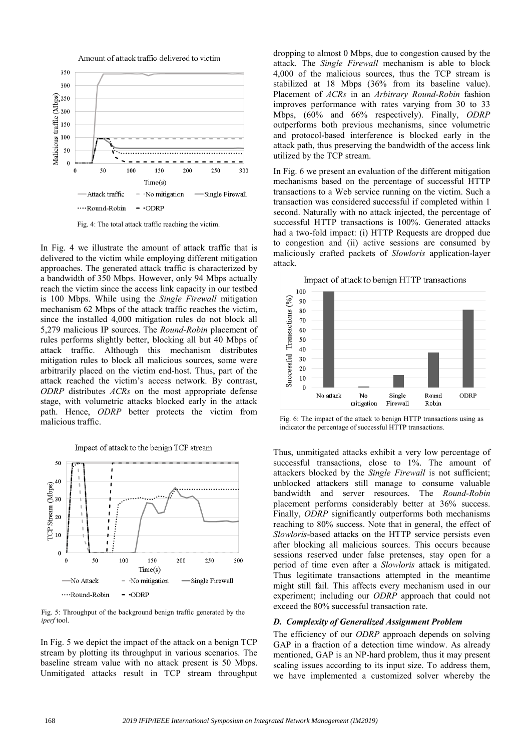



Fig. 4: The total attack traffic reaching the victim.

In Fig. 4 we illustrate the amount of attack traffic that is delivered to the victim while employing different mitigation approaches. The generated attack traffic is characterized by a bandwidth of 350 Mbps. However, only 94 Mbps actually reach the victim since the access link capacity in our testbed is 100 Mbps. While using the *Single Firewall* mitigation mechanism 62 Μbps of the attack traffic reaches the victim, since the installed 4,000 mitigation rules do not block all 5,279 malicious IP sources. The *Round-Robin* placement of rules performs slightly better, blocking all but 40 Mbps of attack traffic. Although this mechanism distributes mitigation rules to block all malicious sources, some were arbitrarily placed on the victim end-host. Thus, part of the attack reached the victim's access network. By contrast, *ODRP* distributes *ACRs* on the most appropriate defense stage, with volumetric attacks blocked early in the attack path. Hence, *ODRP* better protects the victim from malicious traffic.

Impact of attack to the benign TCP stream



Fig. 5: Throughput of the background benign traffic generated by the *iperf* tool.

In Fig. 5 we depict the impact of the attack on a benign TCP stream by plotting its throughput in various scenarios. The baseline stream value with no attack present is 50 Mbps. Unmitigated attacks result in TCP stream throughput dropping to almost 0 Mbps, due to congestion caused by the attack. The *Single Firewall* mechanism is able to block 4,000 of the malicious sources, thus the TCP stream is stabilized at 18 Mbps (36% from its baseline value). Placement of *ACRs* in an *Arbitrary Round-Robin* fashion improves performance with rates varying from 30 to 33 Mbps, (60% and 66% respectively). Finally, *ODRP*  outperforms both previous mechanisms, since volumetric and protocol-based interference is blocked early in the attack path, thus preserving the bandwidth of the access link utilized by the TCP stream.

In Fig. 6 we present an evaluation of the different mitigation mechanisms based on the percentage of successful HTTP transactions to a Web service running on the victim. Such a transaction was considered successful if completed within 1 second. Naturally with no attack injected, the percentage of successful HTTP transactions is 100%. Generated attacks had a two-fold impact: (i) HTTP Requests are dropped due to congestion and (ii) active sessions are consumed by maliciously crafted packets of *Slowloris* application-layer attack.





Fig. 6: The impact of the attack to benign HTTP transactions using as indicator the percentage of successful HTTP transactions.

Thus, unmitigated attacks exhibit a very low percentage of successful transactions, close to 1%. The amount of attackers blocked by the *Single Firewall* is not sufficient; unblocked attackers still manage to consume valuable bandwidth and server resources. The *Round-Robin* placement performs considerably better at 36% success. Finally, *ODRP* significantly outperforms both mechanisms reaching to 80% success. Note that in general, the effect of *Slowloris*-based attacks on the HTTP service persists even after blocking all malicious sources. This occurs because sessions reserved under false pretenses, stay open for a period of time even after a *Slowloris* attack is mitigated. Thus legitimate transactions attempted in the meantime might still fail. This affects every mechanism used in our experiment; including our *ODRP* approach that could not exceed the 80% successful transaction rate.

#### *D. Complexity of Generalized Assignment Problem*

The efficiency of our *ODRP* approach depends on solving GAP in a fraction of a detection time window. As already mentioned, GAP is an NP-hard problem, thus it may present scaling issues according to its input size. To address them, we have implemented a customized solver whereby the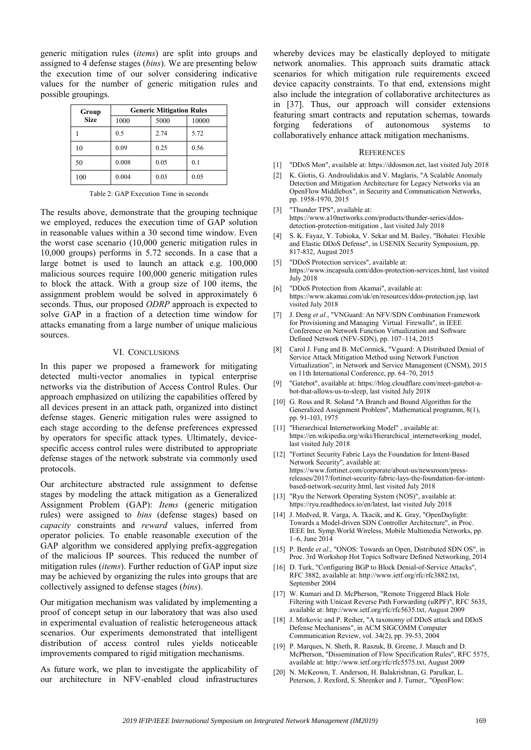generic mitigation rules (*items*) are split into groups and assigned to 4 defense stages (*bins*). We are presenting below the execution time of our solver considering indicative values for the number of generic mitigation rules and possible groupings.

| Group<br><b>Size</b> | <b>Generic Mitigation Rules</b> |      |       |  |
|----------------------|---------------------------------|------|-------|--|
|                      | 1000                            | 5000 | 10000 |  |
|                      | 0.5                             | 2.74 | 5.72  |  |
| 10                   | 0.09                            | 0.25 | 0.56  |  |
| 50                   | 0.008                           | 0.05 | 0.1   |  |
| 100                  | 0.004                           | 0.03 | 0.05  |  |

Table 2: GAP Execution Time in seconds

The results above, demonstrate that the grouping technique we employed, reduces the execution time of GAP solution in reasonable values within a 30 second time window. Even the worst case scenario (10,000 generic mitigation rules in 10,000 groups) performs in 5.72 seconds. In a case that a large botnet is used to launch an attack e.g. 100,000 malicious sources require 100,000 generic mitigation rules to block the attack. With a group size of 100 items, the assignment problem would be solved in approximately 6 seconds. Thus, our proposed *ODRP* approach is expected to solve GAP in a fraction of a detection time window for attacks emanating from a large number of unique malicious sources.

#### VI. CONCLUSIONS

In this paper we proposed a framework for mitigating detected multi-vector anomalies in typical enterprise networks via the distribution of Access Control Rules. Our approach emphasized on utilizing the capabilities offered by all devices present in an attack path, organized into distinct defense stages. Generic mitigation rules were assigned to each stage according to the defense preferences expressed by operators for specific attack types. Ultimately, devicespecific access control rules were distributed to appropriate defense stages of the network substrate via commonly used protocols.

Our architecture abstracted rule assignment to defense stages by modeling the attack mitigation as a Generalized Assignment Problem (GAP): *Items* (generic mitigation rules) were assigned to *bins* (defense stages) based on *capacity* constraints and *reward* values, inferred from operator policies. To enable reasonable execution of the GAP algorithm we considered applying prefix-aggregation of the malicious IP sources. This reduced the number of mitigation rules (*items*). Further reduction of GAP input size may be achieved by organizing the rules into groups that are collectively assigned to defense stages (*bins*).

Our mitigation mechanism was validated by implementing a proof of concept setup in our laboratory that was also used in experimental evaluation of realistic heterogeneous attack scenarios. Our experiments demonstrated that intelligent distribution of access control rules yields noticeable improvements compared to rigid mitigation mechanisms.

As future work, we plan to investigate the applicability of our architecture in NFV-enabled cloud infrastructures

whereby devices may be elastically deployed to mitigate network anomalies. This approach suits dramatic attack scenarios for which mitigation rule requirements exceed device capacity constraints. To that end, extensions might also include the integration of collaborative architectures as in [37]. Thus, our approach will consider extensions featuring smart contracts and reputation schemas, towards forging federations of autonomous systems to collaboratively enhance attack mitigation mechanisms.

#### **REFERENCES**

- [1] "DDoS Mon", available at: https://ddosmon.net, last visited July 2018
- [2] K. Giotis, G. Androulidakis and V. Maglaris, "A Scalable Anomaly Detection and Mitigation Architecture for Legacy Networks via an OpenFlow Middlebox", in Security and Communication Networks, pp. 1958-1970, 2015
- [3] "Thunder TPS", available at: https://www.a10networks.com/products/thunder-series/ddosdetection-protection-mitigation , last visited July 2018
- [4] S. K. Fayaz, Y. Tobioka, V. Sekar and M. Bailey, "Bohatei: Flexible and Elastic DDoS Defense", in USENIX Security Symposium, pp. 817-832, August 2015
- [5] "DDoS Protection services", available at: https://www.incapsula.com/ddos-protection-services.html, last visited July 2018
- [6] "DDoS Protection from Akamai", available at: https://www.akamai.com/uk/en/resources/ddos-protection.jsp, last visited July 2018
- [7] J. Deng *et al.*, "VNGuard: An NFV/SDN Combination Framework for Provisioning and Managing Virtual Firewalls", in IEEE Conference on Network Function Virtualization and Software Defined Network (NFV-SDN), pp. 107–114, 2015
- [8] Carol J. Fung and B. McCormick, "Vguard: A Distributed Denial of Service Attack Mitigation Method using Network Function Virtualization", in Network and Service Management (CNSM), 2015 on 11th International Conference, pp. 64–70, 2015
- [9] "Gatebot", available at: https://blog.cloudflare.com/meet-gatebot-abot-that-allows-us-to-sleep, last visited July 2018
- [10] G. Ross and R. Soland "A Branch and Bound Algorithm for the Generalized Assignment Problem", Mathematical programm, 8(1), pp. 91-103, 1975
- [11] "Hierarchical Internetworking Model" , available at: https://en.wikipedia.org/wiki/Hierarchical\_internetworking\_model, last visited July 2018
- [12] "Fortinet Security Fabric Lays the Foundation for Intent-Based Network Security", available at: https://www.fortinet.com/corporate/about-us/newsroom/pressreleases/2017/fortinet-security-fabric-lays-the-foundation-for-intentbased-network-security.html, last visited July 2018
- [13] "Ryu the Network Operating System (NOS)", available at: https://ryu.readthedocs.io/en/latest, last visited July 2018
- [14] J. Medved, R. Varga, A. Tkacik, and K. Gray, "OpenDaylight: Towards a Model-driven SDN Controller Architecture", in Proc. IEEE Int. Symp.World Wireless, Mobile Multimedia Networks, pp. 1–6, June 2014
- [15] P. Berde et al., "ONOS: Towards an Open, Distributed SDN OS", in Proc. 3rd Workshop Hot Topics Software Defined Networking, 2014
- [16] D. Turk, "Configuring BGP to Block Denial-of-Service Attacks", RFC 3882, available at: http://www.ietf.org/rfc/rfc3882.txt, September 2004
- [17] W. Kumari and D. McPherson, "Remote Triggered Black Hole Filtering with Unicast Reverse Path Forwarding (uRPF)", RFC 5635, available at: http://www.ietf.org/rfc/rfc5635.txt, August 2009
- [18] J. Mirkovic and P. Reiher, "A taxonomy of DDoS attack and DDoS Defense Mechanisms", in ACM SIGCOMM Computer Communication Review, vol. 34(2), pp. 39-53, 2004
- [19] P. Marques, N. Sheth, R. Raszuk, B. Greene, J. Mauch and D. McPherson, "Dissemination of Flow Specification Rules", RFC 5575, available at: http://www.ietf.org/rfc/rfc5575.txt, August 2009
- [20] N. McKeown, T. Anderson, H. Balakrishnan, G. Parulkar, L. Peterson, J. Rexford, S. Shrenker and J. Turner,. "OpenFlow: